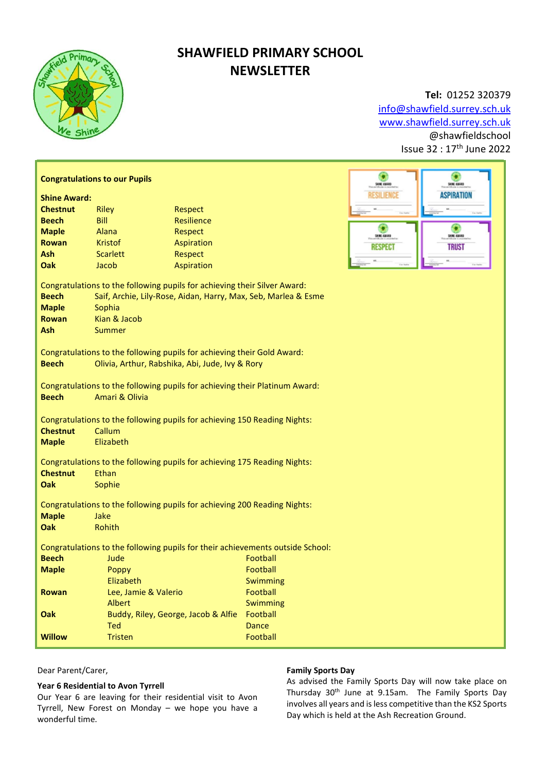

## SHAWFIELD PRIMARY SCHOOL **NEWSLETTER**

Tel: 01252 320379 info@shawfield.surrey.sch.uk www.shawfield.surrey.sch.uk @shawfieldschool Issue 32 : 17th June 2022

| ٥<br><b>Congratulations to our Pupils</b>                                                                                                                                                                                                     |                      |                                     |              |                                                                     |  |  |
|-----------------------------------------------------------------------------------------------------------------------------------------------------------------------------------------------------------------------------------------------|----------------------|-------------------------------------|--------------|---------------------------------------------------------------------|--|--|
|                                                                                                                                                                                                                                               |                      |                                     |              | SHINE KUARD<br>SHIE EBIAD<br><b>RESILIENCE</b><br><b>ASPIRATION</b> |  |  |
| <b>Shine Award:</b>                                                                                                                                                                                                                           |                      |                                     |              |                                                                     |  |  |
| <b>Chestnut</b>                                                                                                                                                                                                                               | <b>Riley</b>         | Respect                             |              |                                                                     |  |  |
| <b>Beech</b>                                                                                                                                                                                                                                  | Bill                 | <b>Resilience</b>                   |              |                                                                     |  |  |
| <b>Maple</b>                                                                                                                                                                                                                                  | Alana                | Respect                             |              | SHIE KAANS<br>SHINE AINAND                                          |  |  |
| <b>Rowan</b>                                                                                                                                                                                                                                  | <b>Kristof</b>       | Aspiration                          |              | <b>TRUST</b><br><b>RESPECT</b>                                      |  |  |
| Ash                                                                                                                                                                                                                                           | <b>Scarlett</b>      | Respect                             |              |                                                                     |  |  |
| Oak                                                                                                                                                                                                                                           | Jacob                | Aspiration                          |              |                                                                     |  |  |
| Congratulations to the following pupils for achieving their Silver Award:<br><b>Beech</b><br>Saif, Archie, Lily-Rose, Aidan, Harry, Max, Seb, Marlea & Esme<br><b>Maple</b><br>Sophia<br>Kian & Jacob<br><b>Rowan</b><br>Ash<br><b>Summer</b> |                      |                                     |              |                                                                     |  |  |
| Congratulations to the following pupils for achieving their Gold Award:<br><b>Beech</b><br>Olivia, Arthur, Rabshika, Abi, Jude, Ivy & Rory                                                                                                    |                      |                                     |              |                                                                     |  |  |
| Congratulations to the following pupils for achieving their Platinum Award:<br><b>Beech</b><br>Amari & Olivia                                                                                                                                 |                      |                                     |              |                                                                     |  |  |
| Congratulations to the following pupils for achieving 150 Reading Nights:                                                                                                                                                                     |                      |                                     |              |                                                                     |  |  |
| <b>Chestnut</b>                                                                                                                                                                                                                               | Callum               |                                     |              |                                                                     |  |  |
| <b>Maple</b>                                                                                                                                                                                                                                  | Elizabeth            |                                     |              |                                                                     |  |  |
| Congratulations to the following pupils for achieving 175 Reading Nights:<br><b>Chestnut</b><br>Ethan<br><b>Oak</b><br>Sophie                                                                                                                 |                      |                                     |              |                                                                     |  |  |
| Congratulations to the following pupils for achieving 200 Reading Nights:                                                                                                                                                                     |                      |                                     |              |                                                                     |  |  |
| <b>Maple</b><br>Oak                                                                                                                                                                                                                           | Jake<br>Rohith       |                                     |              |                                                                     |  |  |
| Congratulations to the following pupils for their achievements outside School:                                                                                                                                                                |                      |                                     |              |                                                                     |  |  |
| <b>Beech</b>                                                                                                                                                                                                                                  | Jude                 |                                     | Football     |                                                                     |  |  |
| <b>Maple</b>                                                                                                                                                                                                                                  | Poppy                |                                     | Football     |                                                                     |  |  |
|                                                                                                                                                                                                                                               | Elizabeth            |                                     | Swimming     |                                                                     |  |  |
| Rowan                                                                                                                                                                                                                                         | Lee, Jamie & Valerio |                                     | Football     |                                                                     |  |  |
|                                                                                                                                                                                                                                               | Albert               |                                     | Swimming     |                                                                     |  |  |
| Oak                                                                                                                                                                                                                                           |                      | Buddy, Riley, George, Jacob & Alfie | Football     |                                                                     |  |  |
|                                                                                                                                                                                                                                               | <b>Ted</b>           |                                     | <b>Dance</b> |                                                                     |  |  |
| <b>Willow</b>                                                                                                                                                                                                                                 | <b>Tristen</b>       |                                     | Football     |                                                                     |  |  |

Dear Parent/Carer,

#### Year 6 Residential to Avon Tyrrell

Our Year 6 are leaving for their residential visit to Avon Tyrrell, New Forest on Monday – we hope you have a wonderful time.

### Family Sports Day

As advised the Family Sports Day will now take place on Thursday 30<sup>th</sup> June at 9.15am. The Family Sports Day involves all years and is less competitive than the KS2 Sports Day which is held at the Ash Recreation Ground.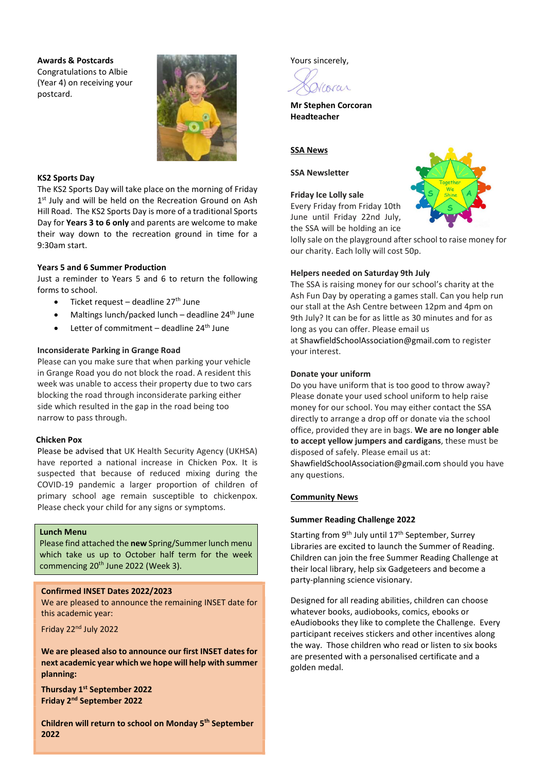#### Awards & Postcards

Congratulations to Albie (Year 4) on receiving your postcard.



#### KS2 Sports Day

The KS2 Sports Day will take place on the morning of Friday 1<sup>st</sup> July and will be held on the Recreation Ground on Ash Hill Road. The KS2 Sports Day is more of a traditional Sports Day for Years 3 to 6 only and parents are welcome to make their way down to the recreation ground in time for a 9:30am start.

#### Years 5 and 6 Summer Production

Just a reminder to Years 5 and 6 to return the following forms to school.

- $\bullet$  Ticket request deadline 27<sup>th</sup> June
- $\bullet$  Maltings lunch/packed lunch deadline 24<sup>th</sup> June
- $\bullet$  Letter of commitment deadline 24<sup>th</sup> June

#### Inconsiderate Parking in Grange Road

Please can you make sure that when parking your vehicle in Grange Road you do not block the road. A resident this week was unable to access their property due to two cars blocking the road through inconsiderate parking either side which resulted in the gap in the road being too narrow to pass through.

#### Chicken Pox

Please be advised that UK Health Security Agency (UKHSA) have reported a national increase in Chicken Pox. It is suspected that because of reduced mixing during the COVID-19 pandemic a larger proportion of children of primary school age remain susceptible to chickenpox. Please check your child for any signs or symptoms.

#### Lunch Menu

Please find attached the new Spring/Summer lunch menu which take us up to October half term for the week commencing 20<sup>th</sup> June 2022 (Week 3).

#### Confirmed INSET Dates 2022/2023

We are pleased to announce the remaining INSET date for this academic year:

Friday 22nd July 2022

We are pleased also to announce our first INSET dates for next academic year which we hope will help with summer planning:

Thursday 1st September 2022 Friday 2nd September 2022

Children will return to school on Monday 5th September 2022

Yours sincerely,



Mr Stephen Corcoran Headteacher

## **SSA News**

#### SSA Newsletter

#### Friday Ice Lolly sale

Every Friday from Friday 10th June until Friday 22nd July, the SSA will be holding an ice



lolly sale on the playground after school to raise money for our charity. Each lolly will cost 50p.

#### Helpers needed on Saturday 9th July

The SSA is raising money for our school's charity at the Ash Fun Day by operating a games stall. Can you help run our stall at the Ash Centre between 12pm and 4pm on 9th July? It can be for as little as 30 minutes and for as long as you can offer. Please email us at ShawfieldSchoolAssociation@gmail.com to register your interest.

#### Donate your uniform

Do you have uniform that is too good to throw away? Please donate your used school uniform to help raise money for our school. You may either contact the SSA directly to arrange a drop off or donate via the school office, provided they are in bags. We are no longer able to accept yellow jumpers and cardigans, these must be disposed of safely. Please email us at: ShawfieldSchoolAssociation@gmail.com should you have any questions.

#### Community News

#### Summer Reading Challenge 2022

Starting from  $9<sup>th</sup>$  July until  $17<sup>th</sup>$  September, Surrey Libraries are excited to launch the Summer of Reading. Children can join the free Summer Reading Challenge at their local library, help six Gadgeteers and become a party-planning science visionary.

Designed for all reading abilities, children can choose whatever books, audiobooks, comics, ebooks or eAudiobooks they like to complete the Challenge. Every participant receives stickers and other incentives along the way. Those children who read or listen to six books are presented with a personalised certificate and a golden medal.